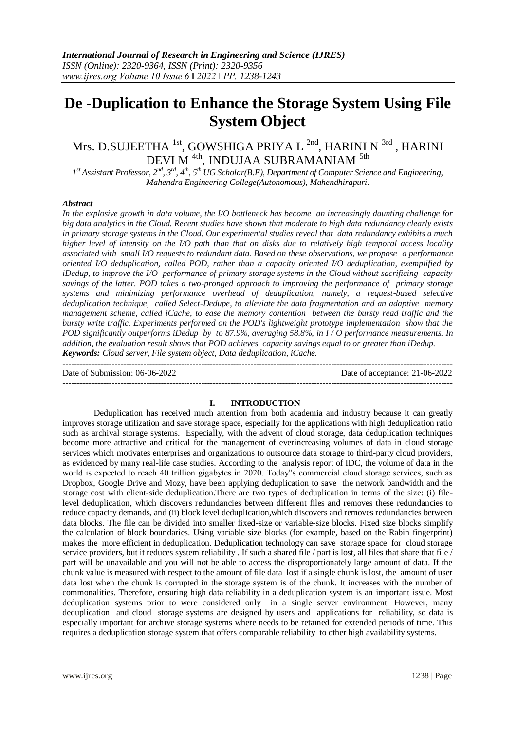# **De -Duplication to Enhance the Storage System Using File System Object**

# Mrs. D.SUJEETHA <sup>1st</sup>, GOWSHIGA PRIYA L <sup>2nd</sup>, HARINI N <sup>3rd</sup> , HARINI DEVI M $^{\rm 4th}$ , INDUJAA SUBRAMANIAM  $^{\rm 5th}$

 $I^{st}$ Assistant Professor,  $2^{nd}$ ,  $3^{rd}$ ,  $4^{th}$ ,  $5^{th}$  UG Scholar(B.E), Department of Computer Science and Engineering, *Mahendra Engineering College(Autonomous), Mahendhirapuri.*

# *Abstract*

*In the explosive growth in data volume, the I/O bottleneck has become an increasingly daunting challenge for big data analytics in the Cloud. Recent studies have shown that moderate to high data redundancy clearly exists in primary storage systems in the Cloud. Our experimental studies reveal that data redundancy exhibits a much higher level of intensity on the I/O path than that on disks due to relatively high temporal access locality associated with small I/O requests to redundant data. Based on these observations, we propose a performance oriented I/O deduplication, called POD, rather than a capacity oriented I/O deduplication, exemplified by iDedup, to improve the I/O performance of primary storage systems in the Cloud without sacrificing capacity savings of the latter. POD takes a two-pronged approach to improving the performance of primary storage systems and minimizing performance overhead of deduplication, namely, a request-based selective deduplication technique, called Select-Dedupe, to alleviate the data fragmentation and an adaptive memory management scheme, called iCache, to ease the memory contention between the bursty read traffic and the bursty write traffic. Experiments performed on the POD's lightweight prototype implementation show that the POD significantly outperforms iDedup by to 87.9%, averaging 58.8%, in I / O performance measurements. In addition, the evaluation result shows that POD achieves capacity savings equal to or greater than iDedup. Keywords: Cloud server, File system object, Data deduplication, iCache.*

Date of Submission: 06-06-2022 Date of acceptance: 21-06-2022

---------------------------------------------------------------------------------------------------------------------------------------

# **I. INTRODUCTION**

---------------------------------------------------------------------------------------------------------------------------------------

Deduplication has received much attention from both academia and industry because it can greatly improves storage utilization and save storage space, especially for the applications with high deduplication ratio such as archival storage systems. Especially, with the advent of cloud storage, data deduplication techniques become more attractive and critical for the management of everincreasing volumes of data in cloud storage services which motivates enterprises and organizations to outsource data storage to third-party cloud providers, as evidenced by many real-life case studies. According to the analysis report of IDC, the volume of data in the world is expected to reach 40 trillion gigabytes in 2020. Today"s commercial cloud storage services, such as Dropbox, Google Drive and Mozy, have been applying deduplication to save the network bandwidth and the storage cost with client-side deduplication.There are two types of deduplication in terms of the size: (i) filelevel deduplication, which discovers redundancies between different files and removes these redundancies to reduce capacity demands, and (ii) block level deduplication,which discovers and removes redundancies between data blocks. The file can be divided into smaller fixed-size or variable-size blocks. Fixed size blocks simplify the calculation of block boundaries. Using variable size blocks (for example, based on the Rabin fingerprint) makes the more efficient in deduplication. Deduplication technology can save storage space for cloud storage service providers, but it reduces system reliability . If such a shared file / part is lost, all files that share that file / part will be unavailable and you will not be able to access the disproportionately large amount of data. If the chunk value is measured with respect to the amount of file data lost if a single chunk is lost, the amount of user data lost when the chunk is corrupted in the storage system is of the chunk. It increases with the number of commonalities. Therefore, ensuring high data reliability in a deduplication system is an important issue. Most deduplication systems prior to were considered only in a single server environment. However, many deduplication and cloud storage systems are designed by users and applications for reliability, so data is especially important for archive storage systems where needs to be retained for extended periods of time. This requires a deduplication storage system that offers comparable reliability to other high availability systems.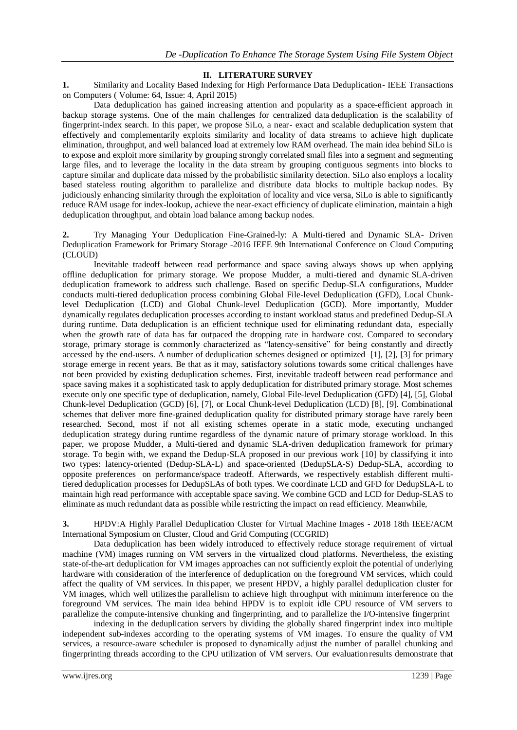# **II. LITERATURE SURVEY**

**1.** Similarity and Locality Based Indexing for High Performance Data Deduplication- [IEEE](https://ieeexplore.ieee.org/xpl/RecentIssue.jsp?punumber=12) [Transactions](https://ieeexplore.ieee.org/xpl/RecentIssue.jsp?punumber=12) on [Computers](https://ieeexplore.ieee.org/xpl/RecentIssue.jsp?punumber=12) ( Volume: 64, [Issue:](https://ieeexplore.ieee.org/xpl/tocresult.jsp?isnumber=7056411) 4, April 2015)

Data deduplication has gained increasing attention and popularity as a space-efficient approach in backup storage systems. One of the main challenges for centralized data deduplication is the scalability of fingerprint-index search. In this paper, we propose SiLo, a near- exact and scalable deduplication system that effectively and complementarily exploits similarity and locality of data streams to achieve high duplicate elimination, throughput, and well balanced load at extremely low RAM overhead. The main idea behind SiLo is to expose and exploit more similarity by grouping strongly correlated small files into a segment and segmenting large files, and to leverage the locality in the data stream by grouping contiguous segments into blocks to capture similar and duplicate data missed by the probabilistic similarity detection. SiLo also employs a locality based stateless routing algorithm to parallelize and distribute data blocks to multiple backup nodes. By judiciously enhancing similarity through the exploitation of locality and vice versa, SiLo is able to significantly reduce RAM usage for index-lookup, achieve the near-exact efficiency of duplicate elimination, maintain a high deduplication throughput, and obtain load balance among backup nodes.

**2.** Try Managing Your Deduplication Fine-Grained-ly: A Multi-tiered and Dynamic SLA- Driven Deduplication Framework for Primary Storage -2016 IEEE 9th [International](https://ieeexplore.ieee.org/xpl/conhome/7819578/proceeding) [Conference on](https://ieeexplore.ieee.org/xpl/conhome/7819578/proceeding) Cloud Computing [\(CLOUD\)](https://ieeexplore.ieee.org/xpl/conhome/7819578/proceeding)

Inevitable tradeoff between read performance and space saving always shows up when applying offline deduplication for primary storage. We propose Mudder, a multi-tiered and dynamic SLA-driven deduplication framework to address such challenge. Based on specific Dedup-SLA configurations, Mudder conducts multi-tiered deduplication process combining Global File-level Deduplication (GFD), Local Chunklevel Deduplication (LCD) and Global Chunk-level Deduplication (GCD). More importantly, Mudder dynamically regulates deduplication processes according to instant workload status and predefined Dedup-SLA during runtime. Data deduplication is an efficient technique used for eliminating redundant data, especially when the growth rate of data has far outpaced the dropping rate in hardware cost. Compared to secondary storage, primary storage is commonly characterized as "latency-sensitive" for being constantly and directly accessed by the end-users. A number of deduplication schemes designed or optimized [1], [2], [3] for primary storage emerge in recent years. Be that as it may, satisfactory solutions towards some critical challenges have not been provided by existing deduplication schemes. First, inevitable tradeoff between read performance and space saving makes it a sophisticated task to apply deduplication for distributed primary storage. Most schemes execute only one specific type of deduplication, namely, Global File-level Deduplication (GFD) [4], [5], Global Chunk-level Deduplication (GCD) [6], [7], or Local Chunk-level Deduplication (LCD) [8], [9]. Combinational schemes that deliver more fine-grained deduplication quality for distributed primary storage have rarely been researched. Second, most if not all existing schemes operate in a static mode, executing unchanged deduplication strategy during runtime regardless of the dynamic nature of primary storage workload. In this paper, we propose Mudder, a Multi-tiered and dynamic SLA-driven deduplication framework for primary storage. To begin with, we expand the Dedup-SLA proposed in our previous work [10] by classifying it into two types: latency-oriented (Dedup-SLA-L) and space-oriented (DedupSLA-S) Dedup-SLA, according to opposite preferences on performance/space tradeoff. Afterwards, we respectively establish different multitiered deduplication processes for DedupSLAs of both types. We coordinate LCD and GFD for DedupSLA-L to maintain high read performance with acceptable space saving. We combine GCD and LCD for Dedup-SLAS to eliminate as much redundant data as possible while restricting the impact on read efficiency. Meanwhile,

**3.** HPDV:A Highly Parallel Deduplication Cluster for Virtual Machine Images - [2018 18th](https://ieeexplore.ieee.org/xpl/conhome/8410863/proceeding) [IEEE/ACM](https://ieeexplore.ieee.org/xpl/conhome/8410863/proceeding) International Symposium on Cluster, Cloud [and Grid Computing](https://ieeexplore.ieee.org/xpl/conhome/8410863/proceeding) (CCGRID)

Data deduplication has been widely introduced to effectively reduce storage requirement of virtual machine (VM) images running on VM servers in the virtualized cloud platforms. Nevertheless, the existing state-of-the-art deduplication for VM images approaches can not sufficiently exploit the potential of underlying hardware with consideration of the interference of deduplication on the foreground VM services, which could affect the quality of VM services. In thispaper, we present HPDV, a highly parallel deduplication cluster for VM images, which well utilizesthe parallelism to achieve high throughput with minimum interference on the foreground VM services. The main idea behind HPDV is to exploit idle CPU resource of VM servers to parallelize the compute-intensive chunking and fingerprinting, and to parallelize the I/O-intensive fingerprint

indexing in the deduplication servers by dividing the globally shared fingerprint index into multiple independent sub-indexes according to the operating systems of VM images. To ensure the quality of VM services, a resource-aware scheduler is proposed to dynamically adjust the number of parallel chunking and fingerprinting threads according to the CPU utilization of VM servers. Our evaluationresults demonstrate that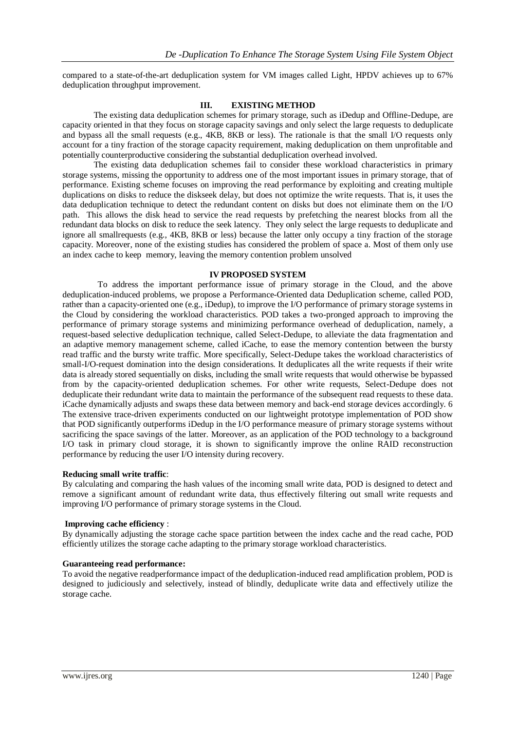compared to a state-of-the-art deduplication system for VM images called Light, HPDV achieves up to 67% deduplication throughput improvement.

# **III. EXISTING METHOD**

The existing data deduplication schemes for primary storage, such as iDedup and Offline-Dedupe, are capacity oriented in that they focus on storage capacity savings and only select the large requests to deduplicate and bypass all the small requests (e.g., 4KB, 8KB or less). The rationale is that the small I/O requests only account for a tiny fraction of the storage capacity requirement, making deduplication on them unprofitable and potentially counterproductive considering the substantial deduplication overhead involved.

The existing data deduplication schemes fail to consider these workload characteristics in primary storage systems, missing the opportunity to address one of the most important issues in primary storage, that of performance. Existing scheme focuses on improving the read performance by exploiting and creating multiple duplications on disks to reduce the diskseek delay, but does not optimize the write requests. That is, it uses the data deduplication technique to detect the redundant content on disks but does not eliminate them on the I/O path. This allows the disk head to service the read requests by prefetching the nearest blocks from all the redundant data blocks on disk to reduce the seek latency. They only select the large requests to deduplicate and ignore all smallrequests (e.g., 4KB, 8KB or less) because the latter only occupy a tiny fraction of the storage capacity. Moreover, none of the existing studies has considered the problem of space a. Most of them only use an index cache to keep memory, leaving the memory contention problem unsolved

#### **IV PROPOSED SYSTEM**

To address the important performance issue of primary storage in the Cloud, and the above deduplication-induced problems, we propose a Performance-Oriented data Deduplication scheme, called POD, rather than a capacity-oriented one (e.g., iDedup), to improve the I/O performance of primary storage systems in the Cloud by considering the workload characteristics. POD takes a two-pronged approach to improving the performance of primary storage systems and minimizing performance overhead of deduplication, namely, a request-based selective deduplication technique, called Select-Dedupe, to alleviate the data fragmentation and an adaptive memory management scheme, called iCache, to ease the memory contention between the bursty read traffic and the bursty write traffic. More specifically, Select-Dedupe takes the workload characteristics of small-I/O-request domination into the design considerations. It deduplicates all the write requests if their write data is already stored sequentially on disks, including the small write requests that would otherwise be bypassed from by the capacity-oriented deduplication schemes. For other write requests, Select-Dedupe does not deduplicate their redundant write data to maintain the performance of the subsequent read requests to these data. iCache dynamically adjusts and swaps these data between memory and back-end storage devices accordingly. 6 The extensive trace-driven experiments conducted on our lightweight prototype implementation of POD show that POD significantly outperforms iDedup in the I/O performance measure of primary storage systems without sacrificing the space savings of the latter. Moreover, as an application of the POD technology to a background I/O task in primary cloud storage, it is shown to significantly improve the online RAID reconstruction performance by reducing the user I/O intensity during recovery.

#### **Reducing small write traffic**:

By calculating and comparing the hash values of the incoming small write data, POD is designed to detect and remove a significant amount of redundant write data, thus effectively filtering out small write requests and improving I/O performance of primary storage systems in the Cloud.

# **Improving cache efficiency** :

By dynamically adjusting the storage cache space partition between the index cache and the read cache, POD efficiently utilizes the storage cache adapting to the primary storage workload characteristics.

#### **Guaranteeing read performance:**

To avoid the negative readperformance impact of the deduplication-induced read amplification problem, POD is designed to judiciously and selectively, instead of blindly, deduplicate write data and effectively utilize the storage cache.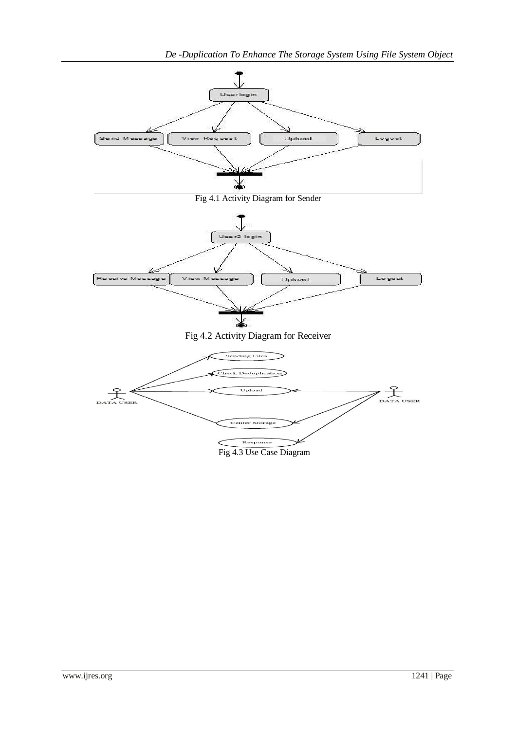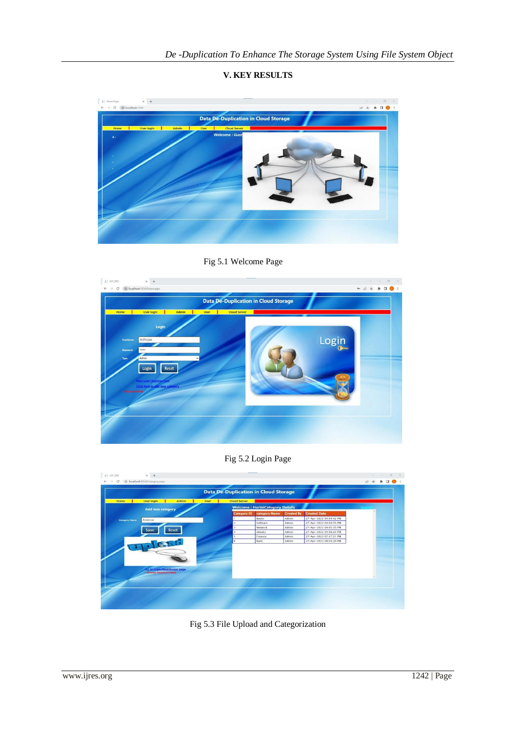

**V. KEY RESULTS**

Fig 5.1 Welcome Page



Fig 5.2 Login Page

| <b>Cloud Server</b><br><b>User login</b><br>Admin<br>Home<br><b>User</b><br><b>Welcome: HariniCategory Details</b><br><b>Add new category</b><br><b>Category ID</b><br><b>Created By</b><br><b>Created Date</b><br>category Name<br><b>Books</b><br>Admin<br>27-Apr-2022 04:04:42 PM<br>Science<br><b>Category Name</b><br>27-Apr-2022 04:04:55 PM<br>Software<br>Admin<br>27-Apr-2022 04:05:35 PM<br>Network<br>Admin<br>Reset<br>Save<br>ebooks<br>Admin<br>27-Apr-2022 04:06:24 PM<br>A<br>27-Apr-2022 07:47:21 PM<br>Finance<br>Admin<br><b>Bank</b><br>Admin<br>27-Apr-2022 08:03:20 PM<br>6<br>lo to login/Registraion page<br>denotes Required fields |  | <b>Data De-Duplication in Cloud Storage</b> |  |  |  |  |
|--------------------------------------------------------------------------------------------------------------------------------------------------------------------------------------------------------------------------------------------------------------------------------------------------------------------------------------------------------------------------------------------------------------------------------------------------------------------------------------------------------------------------------------------------------------------------------------------------------------------------------------------------------------|--|---------------------------------------------|--|--|--|--|
|                                                                                                                                                                                                                                                                                                                                                                                                                                                                                                                                                                                                                                                              |  |                                             |  |  |  |  |
|                                                                                                                                                                                                                                                                                                                                                                                                                                                                                                                                                                                                                                                              |  |                                             |  |  |  |  |
|                                                                                                                                                                                                                                                                                                                                                                                                                                                                                                                                                                                                                                                              |  |                                             |  |  |  |  |
|                                                                                                                                                                                                                                                                                                                                                                                                                                                                                                                                                                                                                                                              |  |                                             |  |  |  |  |
|                                                                                                                                                                                                                                                                                                                                                                                                                                                                                                                                                                                                                                                              |  |                                             |  |  |  |  |
|                                                                                                                                                                                                                                                                                                                                                                                                                                                                                                                                                                                                                                                              |  |                                             |  |  |  |  |
|                                                                                                                                                                                                                                                                                                                                                                                                                                                                                                                                                                                                                                                              |  |                                             |  |  |  |  |
|                                                                                                                                                                                                                                                                                                                                                                                                                                                                                                                                                                                                                                                              |  |                                             |  |  |  |  |
|                                                                                                                                                                                                                                                                                                                                                                                                                                                                                                                                                                                                                                                              |  |                                             |  |  |  |  |

Fig 5.3 File Upload and Categorization